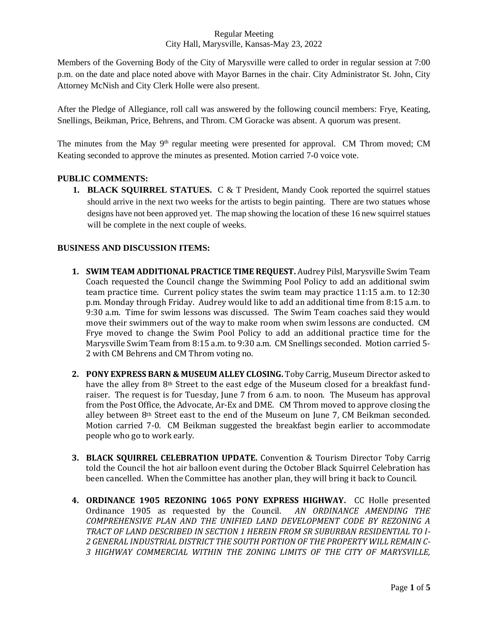### Regular Meeting City Hall, Marysville, Kansas-May 23, 2022

Members of the Governing Body of the City of Marysville were called to order in regular session at 7:00 p.m. on the date and place noted above with Mayor Barnes in the chair. City Administrator St. John, City Attorney McNish and City Clerk Holle were also present.

After the Pledge of Allegiance, roll call was answered by the following council members: Frye, Keating, Snellings, Beikman, Price, Behrens, and Throm. CM Goracke was absent. A quorum was present.

The minutes from the May 9<sup>th</sup> regular meeting were presented for approval. CM Throm moved; CM Keating seconded to approve the minutes as presented. Motion carried 7-0 voice vote.

# **PUBLIC COMMENTS:**

**1. BLACK SQUIRREL STATUES.** C & T President, Mandy Cook reported the squirrel statues should arrive in the next two weeks for the artists to begin painting. There are two statues whose designs have not been approved yet. The map showing the location of these 16 new squirrel statues will be complete in the next couple of weeks.

# **BUSINESS AND DISCUSSION ITEMS:**

- **1. SWIM TEAM ADDITIONAL PRACTICE TIME REQUEST.** Audrey Pilsl, Marysville Swim Team Coach requested the Council change the Swimming Pool Policy to add an additional swim team practice time. Current policy states the swim team may practice 11:15 a.m. to 12:30 p.m. Monday through Friday. Audrey would like to add an additional time from 8:15 a.m. to 9:30 a.m. Time for swim lessons was discussed. The Swim Team coaches said they would move their swimmers out of the way to make room when swim lessons are conducted. CM Frye moved to change the Swim Pool Policy to add an additional practice time for the Marysville Swim Team from 8:15 a.m. to 9:30 a.m. CM Snellings seconded. Motion carried 5- 2 with CM Behrens and CM Throm voting no.
- **2. PONY EXPRESS BARN & MUSEUM ALLEY CLOSING.** Toby Carrig, Museum Director asked to have the alley from 8th Street to the east edge of the Museum closed for a breakfast fundraiser. The request is for Tuesday, June 7 from 6 a.m. to noon. The Museum has approval from the Post Office, the Advocate, Ar-Ex and DME. CM Throm moved to approve closing the alley between  $8<sup>th</sup>$  Street east to the end of the Museum on June 7, CM Beikman seconded. Motion carried 7-0. CM Beikman suggested the breakfast begin earlier to accommodate people who go to work early.
- **3. BLACK SQUIRREL CELEBRATION UPDATE.** Convention & Tourism Director Toby Carrig told the Council the hot air balloon event during the October Black Squirrel Celebration has been cancelled. When the Committee has another plan, they will bring it back to Council.
- **4. ORDINANCE 1905 REZONING 1065 PONY EXPRESS HIGHWAY.** CC Holle presented Ordinance 1905 as requested by the Council. *AN ORDINANCE AMENDING THE COMPREHENSIVE PLAN AND THE UNIFIED LAND DEVELOPMENT CODE BY REZONING A TRACT OF LAND DESCRIBED IN SECTION 1 HEREIN FROM SR SUBURBAN RESIDENTIAL TO I-2 GENERAL INDUSTRIAL DISTRICT THE SOUTH PORTION OF THE PROPERTY WILL REMAIN C-3 HIGHWAY COMMERCIAL WITHIN THE ZONING LIMITS OF THE CITY OF MARYSVILLE,*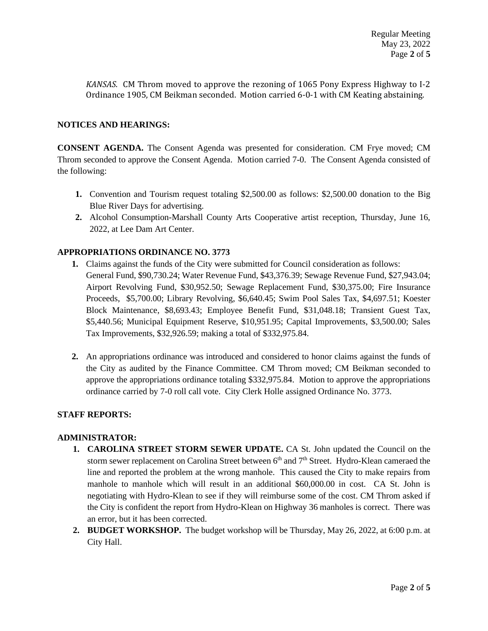*KANSAS*. CM Throm moved to approve the rezoning of 1065 Pony Express Highway to I-2 Ordinance 1905, CM Beikman seconded. Motion carried 6-0-1 with CM Keating abstaining.

## **NOTICES AND HEARINGS:**

**CONSENT AGENDA.** The Consent Agenda was presented for consideration. CM Frye moved; CM Throm seconded to approve the Consent Agenda. Motion carried 7-0. The Consent Agenda consisted of the following:

- **1.** Convention and Tourism request totaling \$2,500.00 as follows: \$2,500.00 donation to the Big Blue River Days for advertising.
- **2.** Alcohol Consumption-Marshall County Arts Cooperative artist reception, Thursday, June 16, 2022, at Lee Dam Art Center.

# **APPROPRIATIONS ORDINANCE NO. 3773**

- **1.** Claims against the funds of the City were submitted for Council consideration as follows: General Fund, \$90,730.24; Water Revenue Fund, \$43,376.39; Sewage Revenue Fund, \$27,943.04; Airport Revolving Fund, \$30,952.50; Sewage Replacement Fund, \$30,375.00; Fire Insurance Proceeds, \$5,700.00; Library Revolving, \$6,640.45; Swim Pool Sales Tax, \$4,697.51; Koester Block Maintenance, \$8,693.43; Employee Benefit Fund, \$31,048.18; Transient Guest Tax, \$5,440.56; Municipal Equipment Reserve, \$10,951.95; Capital Improvements, \$3,500.00; Sales Tax Improvements, \$32,926.59; making a total of \$332,975.84.
- **2.** An appropriations ordinance was introduced and considered to honor claims against the funds of the City as audited by the Finance Committee. CM Throm moved; CM Beikman seconded to approve the appropriations ordinance totaling \$332,975.84. Motion to approve the appropriations ordinance carried by 7-0 roll call vote. City Clerk Holle assigned Ordinance No. 3773.

### **STAFF REPORTS:**

### **ADMINISTRATOR:**

- **1. CAROLINA STREET STORM SEWER UPDATE.** CA St. John updated the Council on the storm sewer replacement on Carolina Street between 6<sup>th</sup> and 7<sup>th</sup> Street. Hydro-Klean cameraed the line and reported the problem at the wrong manhole. This caused the City to make repairs from manhole to manhole which will result in an additional \$60,000.00 in cost. CA St. John is negotiating with Hydro-Klean to see if they will reimburse some of the cost. CM Throm asked if the City is confident the report from Hydro-Klean on Highway 36 manholes is correct. There was an error, but it has been corrected.
- **2. BUDGET WORKSHOP.** The budget workshop will be Thursday, May 26, 2022, at 6:00 p.m. at City Hall.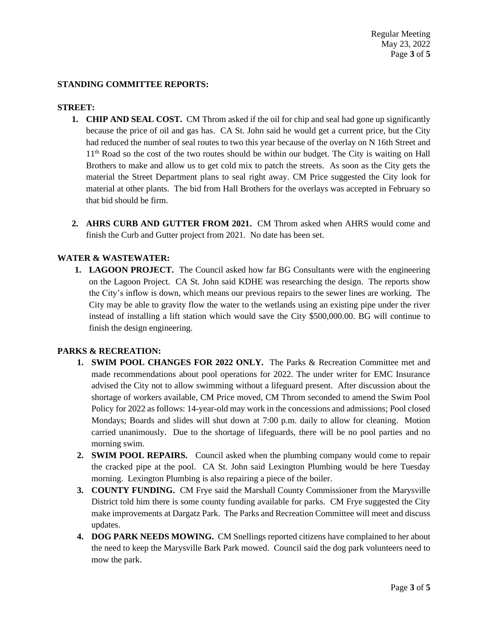## **STANDING COMMITTEE REPORTS:**

#### **STREET:**

- **1. CHIP AND SEAL COST.** CM Throm asked if the oil for chip and seal had gone up significantly because the price of oil and gas has. CA St. John said he would get a current price, but the City had reduced the number of seal routes to two this year because of the overlay on N 16th Street and 11<sup>th</sup> Road so the cost of the two routes should be within our budget. The City is waiting on Hall Brothers to make and allow us to get cold mix to patch the streets. As soon as the City gets the material the Street Department plans to seal right away. CM Price suggested the City look for material at other plants. The bid from Hall Brothers for the overlays was accepted in February so that bid should be firm.
- **2. AHRS CURB AND GUTTER FROM 2021.** CM Throm asked when AHRS would come and finish the Curb and Gutter project from 2021. No date has been set.

# **WATER & WASTEWATER:**

**1. LAGOON PROJECT.** The Council asked how far BG Consultants were with the engineering on the Lagoon Project. CA St. John said KDHE was researching the design. The reports show the City's inflow is down, which means our previous repairs to the sewer lines are working. The City may be able to gravity flow the water to the wetlands using an existing pipe under the river instead of installing a lift station which would save the City \$500,000.00. BG will continue to finish the design engineering.

### **PARKS & RECREATION:**

- **1. SWIM POOL CHANGES FOR 2022 ONLY.** The Parks & Recreation Committee met and made recommendations about pool operations for 2022. The under writer for EMC Insurance advised the City not to allow swimming without a lifeguard present. After discussion about the shortage of workers available, CM Price moved, CM Throm seconded to amend the Swim Pool Policy for 2022 as follows: 14-year-old may work in the concessions and admissions; Pool closed Mondays; Boards and slides will shut down at 7:00 p.m. daily to allow for cleaning. Motion carried unanimously. Due to the shortage of lifeguards, there will be no pool parties and no morning swim.
- **2. SWIM POOL REPAIRS.** Council asked when the plumbing company would come to repair the cracked pipe at the pool. CA St. John said Lexington Plumbing would be here Tuesday morning. Lexington Plumbing is also repairing a piece of the boiler.
- **3. COUNTY FUNDING.** CM Frye said the Marshall County Commissioner from the Marysville District told him there is some county funding available for parks. CM Frye suggested the City make improvements at Dargatz Park. The Parks and Recreation Committee will meet and discuss updates.
- **4. DOG PARK NEEDS MOWING.** CM Snellings reported citizens have complained to her about the need to keep the Marysville Bark Park mowed. Council said the dog park volunteers need to mow the park.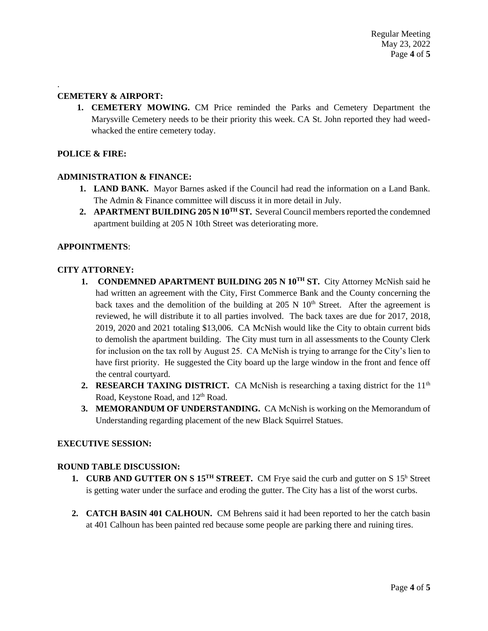# **CEMETERY & AIRPORT:**

**1. CEMETERY MOWING.** CM Price reminded the Parks and Cemetery Department the Marysville Cemetery needs to be their priority this week. CA St. John reported they had weedwhacked the entire cemetery today.

## **POLICE & FIRE:**

.

### **ADMINISTRATION & FINANCE:**

- **1. LAND BANK.** Mayor Barnes asked if the Council had read the information on a Land Bank. The Admin & Finance committee will discuss it in more detail in July.
- **2. APARTMENT BUILDING 205 N 10TH ST.** Several Council members reported the condemned apartment building at 205 N 10th Street was deteriorating more.

### **APPOINTMENTS**:

### **CITY ATTORNEY:**

- **1. CONDEMNED APARTMENT BUILDING 205 N 10TH ST.** City Attorney McNish said he had written an agreement with the City, First Commerce Bank and the County concerning the back taxes and the demolition of the building at  $205 \text{ N}$  10<sup>th</sup> Street. After the agreement is reviewed, he will distribute it to all parties involved. The back taxes are due for 2017, 2018, 2019, 2020 and 2021 totaling \$13,006. CA McNish would like the City to obtain current bids to demolish the apartment building. The City must turn in all assessments to the County Clerk for inclusion on the tax roll by August 25. CA McNish is trying to arrange for the City's lien to have first priority. He suggested the City board up the large window in the front and fence off the central courtyard.
- **2. RESEARCH TAXING DISTRICT.** CA McNish is researching a taxing district for the 11<sup>th</sup> Road, Keystone Road, and 12<sup>th</sup> Road.
- **3. MEMORANDUM OF UNDERSTANDING.** CA McNish is working on the Memorandum of Understanding regarding placement of the new Black Squirrel Statues.

### **EXECUTIVE SESSION:**

#### **ROUND TABLE DISCUSSION:**

- **1. CURB AND GUTTER ON S 15<sup>TH</sup> STREET.** CM Frye said the curb and gutter on S 15<sup>h</sup> Street is getting water under the surface and eroding the gutter. The City has a list of the worst curbs.
- **2. CATCH BASIN 401 CALHOUN.** CM Behrens said it had been reported to her the catch basin at 401 Calhoun has been painted red because some people are parking there and ruining tires.